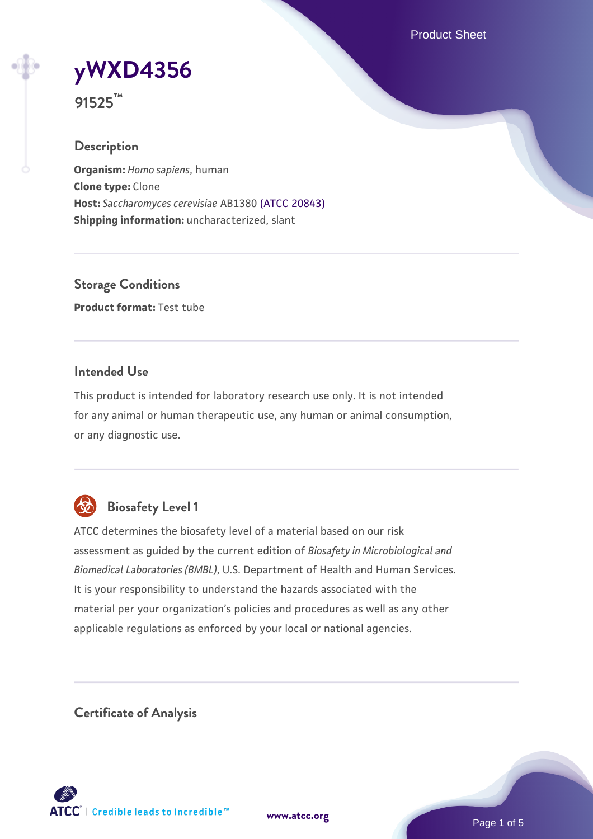Product Sheet



**91525™**

## **Description**

**Organism:** *Homo sapiens*, human **Clone type:** Clone **Host:** *Saccharomyces cerevisiae* AB1380 [\(ATCC 20843\)](https://www.atcc.org/products/20843) **Shipping information:** uncharacterized, slant

**Storage Conditions Product format:** Test tube

## **Intended Use**

This product is intended for laboratory research use only. It is not intended for any animal or human therapeutic use, any human or animal consumption, or any diagnostic use.



# **Biosafety Level 1**

ATCC determines the biosafety level of a material based on our risk assessment as guided by the current edition of *Biosafety in Microbiological and Biomedical Laboratories (BMBL)*, U.S. Department of Health and Human Services. It is your responsibility to understand the hazards associated with the material per your organization's policies and procedures as well as any other applicable regulations as enforced by your local or national agencies.

**Certificate of Analysis**

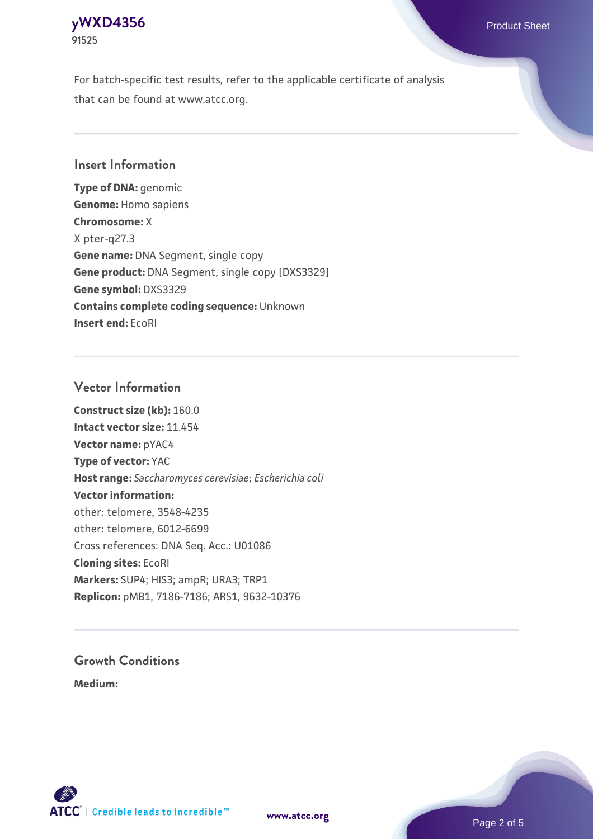# **[yWXD4356](https://www.atcc.org/products/91525)** Product Sheet **91525**

For batch-specific test results, refer to the applicable certificate of analysis that can be found at www.atcc.org.

## **Insert Information**

**Type of DNA:** genomic **Genome:** Homo sapiens **Chromosome:** X X pter-q27.3 **Gene name:** DNA Segment, single copy **Gene product:** DNA Segment, single copy [DXS3329] **Gene symbol:** DXS3329 **Contains complete coding sequence:** Unknown **Insert end:** EcoRI

## **Vector Information**

**Construct size (kb):** 160.0 **Intact vector size:** 11.454 **Vector name:** pYAC4 **Type of vector:** YAC **Host range:** *Saccharomyces cerevisiae*; *Escherichia coli* **Vector information:** other: telomere, 3548-4235 other: telomere, 6012-6699 Cross references: DNA Seq. Acc.: U01086 **Cloning sites:** EcoRI **Markers:** SUP4; HIS3; ampR; URA3; TRP1 **Replicon:** pMB1, 7186-7186; ARS1, 9632-10376

# **Growth Conditions**

**Medium:** 



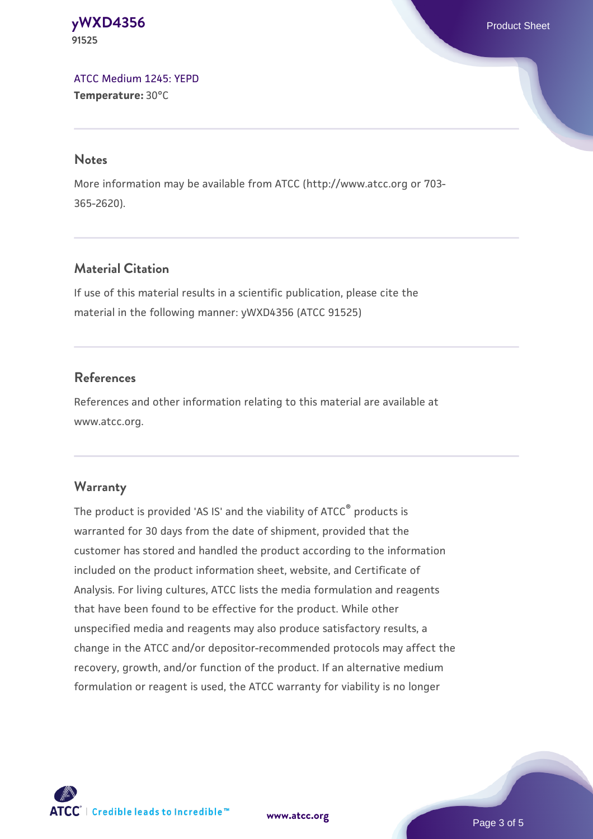#### **[yWXD4356](https://www.atcc.org/products/91525)** Product Sheet **91525**

[ATCC Medium 1245: YEPD](https://www.atcc.org/-/media/product-assets/documents/microbial-media-formulations/1/2/4/5/atcc-medium-1245.pdf?rev=705ca55d1b6f490a808a965d5c072196) **Temperature:** 30°C

#### **Notes**

More information may be available from ATCC (http://www.atcc.org or 703- 365-2620).

# **Material Citation**

If use of this material results in a scientific publication, please cite the material in the following manner: yWXD4356 (ATCC 91525)

# **References**

References and other information relating to this material are available at www.atcc.org.

# **Warranty**

The product is provided 'AS IS' and the viability of ATCC® products is warranted for 30 days from the date of shipment, provided that the customer has stored and handled the product according to the information included on the product information sheet, website, and Certificate of Analysis. For living cultures, ATCC lists the media formulation and reagents that have been found to be effective for the product. While other unspecified media and reagents may also produce satisfactory results, a change in the ATCC and/or depositor-recommended protocols may affect the recovery, growth, and/or function of the product. If an alternative medium formulation or reagent is used, the ATCC warranty for viability is no longer



**[www.atcc.org](http://www.atcc.org)**

Page 3 of 5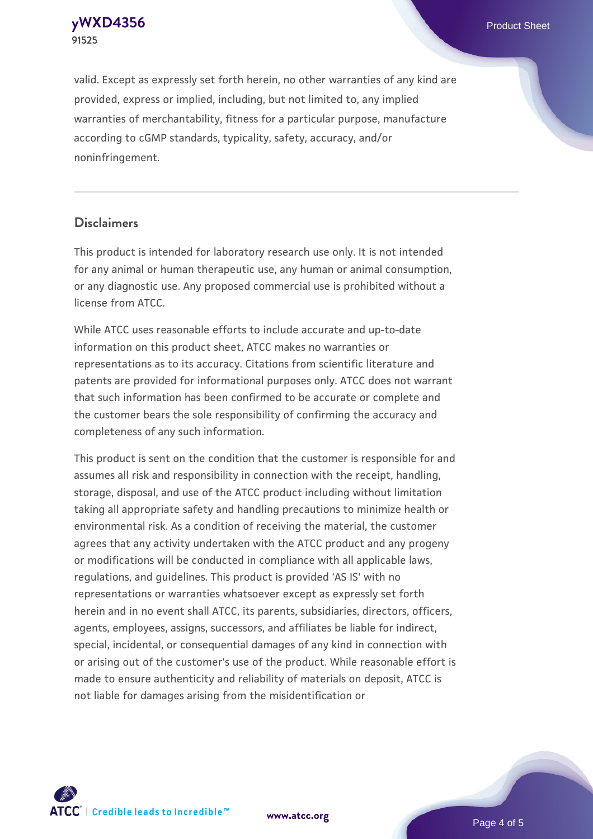**[yWXD4356](https://www.atcc.org/products/91525)** Product Sheet **91525**

valid. Except as expressly set forth herein, no other warranties of any kind are provided, express or implied, including, but not limited to, any implied warranties of merchantability, fitness for a particular purpose, manufacture according to cGMP standards, typicality, safety, accuracy, and/or noninfringement.

#### **Disclaimers**

This product is intended for laboratory research use only. It is not intended for any animal or human therapeutic use, any human or animal consumption, or any diagnostic use. Any proposed commercial use is prohibited without a license from ATCC.

While ATCC uses reasonable efforts to include accurate and up-to-date information on this product sheet, ATCC makes no warranties or representations as to its accuracy. Citations from scientific literature and patents are provided for informational purposes only. ATCC does not warrant that such information has been confirmed to be accurate or complete and the customer bears the sole responsibility of confirming the accuracy and completeness of any such information.

This product is sent on the condition that the customer is responsible for and assumes all risk and responsibility in connection with the receipt, handling, storage, disposal, and use of the ATCC product including without limitation taking all appropriate safety and handling precautions to minimize health or environmental risk. As a condition of receiving the material, the customer agrees that any activity undertaken with the ATCC product and any progeny or modifications will be conducted in compliance with all applicable laws, regulations, and guidelines. This product is provided 'AS IS' with no representations or warranties whatsoever except as expressly set forth herein and in no event shall ATCC, its parents, subsidiaries, directors, officers, agents, employees, assigns, successors, and affiliates be liable for indirect, special, incidental, or consequential damages of any kind in connection with or arising out of the customer's use of the product. While reasonable effort is made to ensure authenticity and reliability of materials on deposit, ATCC is not liable for damages arising from the misidentification or



**[www.atcc.org](http://www.atcc.org)**

Page 4 of 5